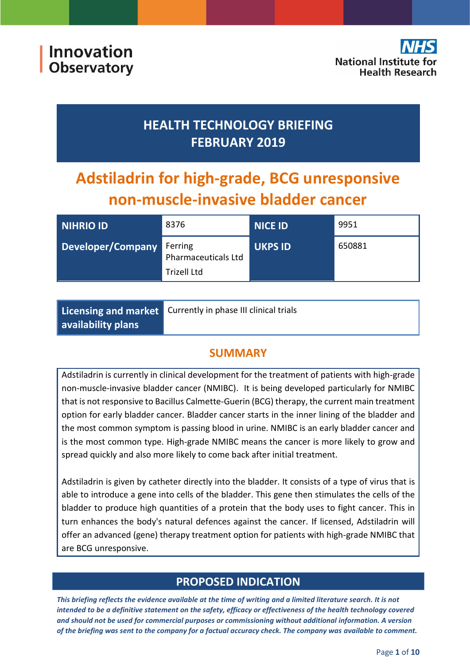# **HEALTH TECHNOLOGY BRIEFING FEBRUARY 2019**

# **Adstiladrin for high-grade, BCG unresponsive non-muscle-invasive bladder cancer**

| NIHRIO ID         | 8376                                                 | <b>NICE ID</b> | 9951   |
|-------------------|------------------------------------------------------|----------------|--------|
| Developer/Company | Ferring<br>Pharmaceuticals Ltd<br><b>Trizell Ltd</b> | <b>UKPS ID</b> | 650881 |

|                    | <b>Licensing and market</b> Currently in phase III clinical trials |  |
|--------------------|--------------------------------------------------------------------|--|
| availability plans |                                                                    |  |

### **SUMMARY**

Adstiladrin is currently in clinical development for the treatment of patients with high-grade non-muscle-invasive bladder cancer (NMIBC). It is being developed particularly for NMIBC that is not responsive to Bacillus Calmette-Guerin (BCG) therapy, the current main treatment option for early bladder cancer. Bladder cancer starts in the inner lining of the bladder and the most common symptom is passing blood in urine. NMIBC is an early bladder cancer and is the most common type. High-grade NMIBC means the cancer is more likely to grow and spread quickly and also more likely to come back after initial treatment.

Adstiladrin is given by catheter directly into the bladder. It consists of a type of virus that is able to introduce a gene into cells of the bladder. This gene then stimulates the cells of the bladder to produce high quantities of a protein that the body uses to fight cancer. This in turn enhances the body's natural defences against the cancer. If licensed, Adstiladrin will offer an advanced (gene) therapy treatment option for patients with high-grade NMIBC that are BCG unresponsive.

### **PROPOSED INDICATION**

*This briefing reflects the evidence available at the time of writing and a limited literature search. It is not intended to be a definitive statement on the safety, efficacy or effectiveness of the health technology covered and should not be used for commercial purposes or commissioning without additional information. A version of the briefing was sent to the company for a factual accuracy check. The company was available to comment.*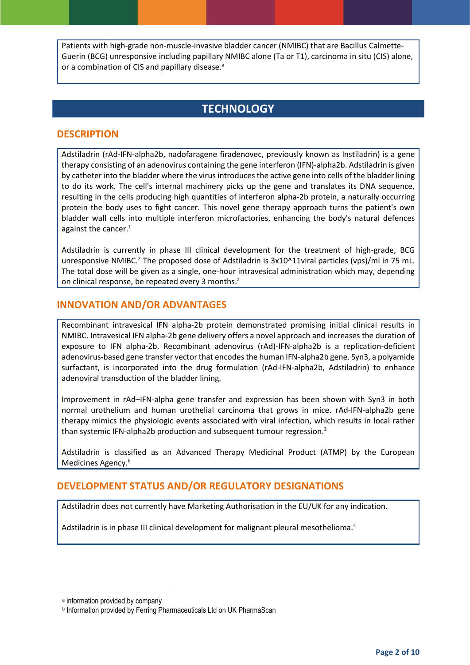Patients with high-grade non-muscle-invasive bladder cancer (NMIBC) that are Bacillus Calmette-Guerin (BCG) unresponsive including papillary NMIBC alone (Ta or T1), carcinoma in situ (CIS) alone, or a combination of CIS and papillary disease.<sup>a</sup>

### <span id="page-1-0"></span>**TECHNOLOGY**

#### **DESCRIPTION**

Adstiladrin (rAd-IFN-alpha2b, nadofaragene firadenovec, previously known as Instiladrin) is a gene therapy consisting of an adenovirus containing the gene interferon (IFN)-alpha2b. Adstiladrin is given by catheter into the bladder where the virus introduces the active gene into cells of the bladder lining to do its work. The cell's internal machinery picks up the gene and translates its DNA sequence, resulting in the cells producing high quantities of interferon alpha-2b protein, a naturally occurring protein the body uses to fight cancer. This novel gene therapy approach turns the patient's own bladder wall cells into multiple interferon microfactories, enhancing the body's natural defences against the cancer. 1

Adstiladrin is currently in phase III clinical development for the treatment of high-grade, BCG unresponsive NMIBC.<sup>2</sup> The proposed dose of Adstiladrin is 3x10^11viral particles (vps)/ml in 75 mL. The total dose will be given as a single, one-hour intravesical administration which may, depending on clinical response, be repeated every 3 months[.](#page-1-0)<sup>a</sup>

#### **INNOVATION AND/OR ADVANTAGES**

Recombinant intravesical IFN alpha-2b protein demonstrated promising initial clinical results in NMIBC. Intravesical IFN alpha-2b gene delivery offers a novel approach and increases the duration of exposure to IFN alpha-2b. Recombinant adenovirus (rAd)-IFN-alpha2b is a replication-deficient adenovirus-based gene transfer vector that encodes the human IFN-alpha2b gene. Syn3, a polyamide surfactant, is incorporated into the drug formulation (rAd-IFN-alpha2b, Adstiladrin) to enhance adenoviral transduction of the bladder lining.

Improvement in rAd–IFN-alpha gene transfer and expression has been shown with Syn3 in both normal urothelium and human urothelial carcinoma that grows in mice. rAd-IFN-alpha2b gene therapy mimics the physiologic events associated with viral infection, which results in local rather than systemic IFN-alpha2b production and subsequent tumour regression. $3$ 

Adstiladrin is classified as an Advanced Therapy Medicinal Product (ATMP) by the European Medicines Agency.<sup>b</sup>

#### **DEVELOPMENT STATUS AND/OR REGULATORY DESIGNATIONS**

Adstiladrin does not currently have Marketing Authorisation in the EU/UK for any indication.

Adstiladrin is in phase III clinical development for malignant pleural mesothelioma.<sup>4</sup>

**.** 

a information provided by company

b Information provided by Ferring Pharmaceuticals Ltd on UK PharmaScan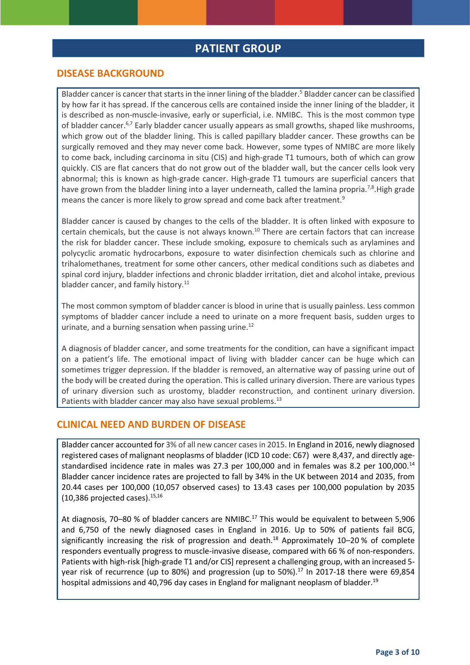#### **PATIENT GROUP**

#### **DISEASE BACKGROUND**

Bladder cancer is cancer that starts in the inner lining of the bladder.<sup>5</sup> Bladder cancer can be classified by how far it has spread. If the cancerous cells are contained inside the inner lining of the bladder, it is described as non-muscle-invasive, early or superficial, i.e. NMIBC. This is the most common type of bladder cancer.6,7 Early bladder cancer usually appears as small growths, shaped like mushrooms, which grow out of the bladder lining. This is called papillary bladder cancer. These growths can be surgically removed and they may never come back. However, some types of NMIBC are more likely to come back, including carcinoma in situ (CIS) and high-grade T1 tumours, both of which can grow quickly. CIS are flat cancers that do not grow out of the bladder wall, but the cancer cells look very abnormal; this is known as high-grade cancer. High-grade T1 tumours are superficial cancers that have grown from the bladder lining into a layer underneath, called the lamina propria.<sup>7,8</sup>.High grade means the cancer is more likely to grow spread and come back after treatment.<sup>9</sup>

Bladder cancer is caused by changes to the cells of the bladder. It is often linked with exposure to certain chemicals, but the cause is not always known.<sup>10</sup> There are certain factors that can increase the risk for bladder cancer. These include smoking, exposure to chemicals such as arylamines and polycyclic aromatic hydrocarbons, exposure to water disinfection chemicals such as chlorine and trihalomethanes, treatment for some other cancers, other medical conditions such as diabetes and spinal cord injury, bladder infections and chronic bladder irritation, diet and alcohol intake, previous bladder cancer, and family history.<sup>11</sup>

The most common symptom of bladder cancer is blood in urine that is usually painless. Less common symptoms of bladder cancer include a need to urinate on a more frequent basis, sudden urges to urinate, and a burning sensation when passing urine.<sup>12</sup>

A diagnosis of bladder cancer, and some treatments for the condition, can have a significant impact on a patient's life. The emotional impact of living with bladder cancer can be huge which can sometimes trigger depression. If the bladder is removed, an alternative way of passing urine out of the body will be created during the operation. This is called urinary diversion. There are various types of urinary diversion such as urostomy, bladder reconstruction, and continent urinary diversion. Patients with bladder cancer may also have sexual problems.<sup>13</sup>

#### **CLINICAL NEED AND BURDEN OF DISEASE**

Bladder cancer accounted for 3% of all new cancer cases in 2015. In England in 2016, newly diagnosed registered cases of malignant neoplasms of bladder (ICD 10 code: C67) were 8,437, and directly agestandardised incidence rate in males was 27.3 per 100,000 and in females was 8.2 per 100,000.<sup>14</sup> Bladder cancer incidence rates are projected to fall by 34% in the UK between 2014 and 2035, from 20.44 cases per 100,000 (10,057 observed cases) to 13.43 cases per 100,000 population by 2035 (10,386 projected cases). 15,16

At diagnosis, 70–80 % of bladder cancers are NMIBC.<sup>17</sup> This would be equivalent to between 5,906 and 6,750 of the newly diagnosed cases in England in 2016. Up to 50% of patients fail BCG, significantly increasing the risk of progression and death.<sup>18</sup> Approximately 10–20% of complete responders eventually progress to muscle-invasive disease, compared with 66 % of non-responders. Patients with high-risk [high-grade T1 and/or CIS] represent a challenging group, with an increased 5 year risk of recurrence (up to 80%) and progression (up to 50%).<sup>17</sup> In 2017-18 there were 69,854 hospital admissions and 40,796 day cases in England for malignant neoplasm of bladder.<sup>19</sup>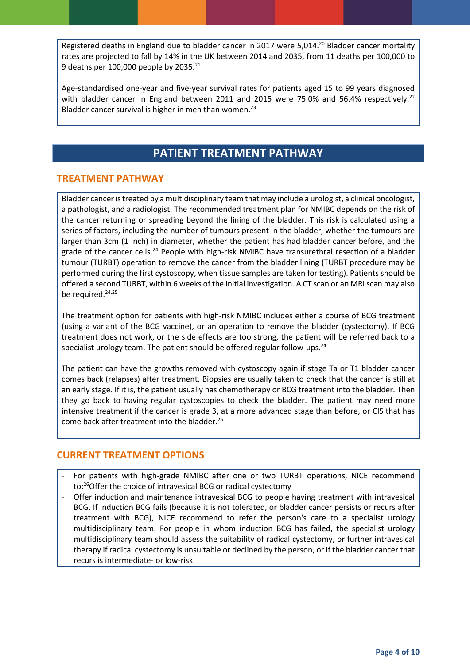Registered deaths in England due to bladder cancer in 2017 were 5,014.<sup>20</sup> Bladder cancer mortality rates are projected to fall by 14% in the UK between 2014 and 2035, from 11 deaths per 100,000 to 9 deaths per 100,000 people by  $2035.<sup>21</sup>$ 

Age-standardised one-year and five-year survival rates for patients aged 15 to 99 years diagnosed with bladder cancer in England between 2011 and 2015 were 75.0% and 56.4% respectively.<sup>22</sup> Bladder cancer survival is higher in men than women.<sup>23</sup>

### **PATIENT TREATMENT PATHWAY**

#### **TREATMENT PATHWAY**

Bladder cancer is treated by a multidisciplinary team that may include a urologist, a clinical oncologist, a pathologist, and a radiologist. The recommended treatment plan for NMIBC depends on the risk of the cancer returning or spreading beyond the lining of the bladder. This risk is calculated using a series of factors, including the number of tumours present in the bladder, whether the tumours are larger than 3cm (1 inch) in diameter, whether the patient has had bladder cancer before, and the grade of the cancer cells.<sup>24</sup> People with high-risk NMIBC have transurethral resection of a bladder tumour (TURBT) operation to remove the cancer from the bladder lining (TURBT procedure may be performed during the first cystoscopy, when tissue samples are taken for testing). Patients should be offered a second TURBT, within 6 weeks of the initial investigation. A CT scan or an MRI scan may also be required.<sup>24,25</sup>

The treatment option for patients with high-risk NMIBC includes either a course of BCG treatment (using a variant of the BCG vaccine), or an operation to remove the bladder (cystectomy). If BCG treatment does not work, or the side effects are too strong, the patient will be referred back to a specialist urology team. The patient should be offered regular follow-ups.<sup>24</sup>

The patient can have the growths removed with cystoscopy again if stage Ta or T1 bladder cancer comes back (relapses) after treatment. Biopsies are usually taken to check that the cancer is still at an early stage. If it is, the patient usually has chemotherapy or BCG treatment into the bladder. Then they go back to having regular cystoscopies to check the bladder. The patient may need more intensive treatment if the cancer is grade 3, at a more advanced stage than before, or CIS that has come back after treatment into the bladder. 25

#### **CURRENT TREATMENT OPTIONS**

- For patients with high-grade NMIBC after one or two TURBT operations, NICE recommend to: <sup>26</sup>Offer the choice of intravesical BCG or radical cystectomy
- Offer induction and maintenance intravesical BCG to people having treatment with intravesical BCG. If induction BCG fails (because it is not tolerated, or bladder cancer persists or recurs after treatment with BCG), NICE recommend to refer the person's care to a specialist urology multidisciplinary team. For people in whom induction BCG has failed, the specialist urology multidisciplinary team should assess the suitability of radical cystectomy, or further intravesical therapy if radical cystectomy is unsuitable or declined by the person, or if the bladder cancer that recurs is intermediate- or low-risk.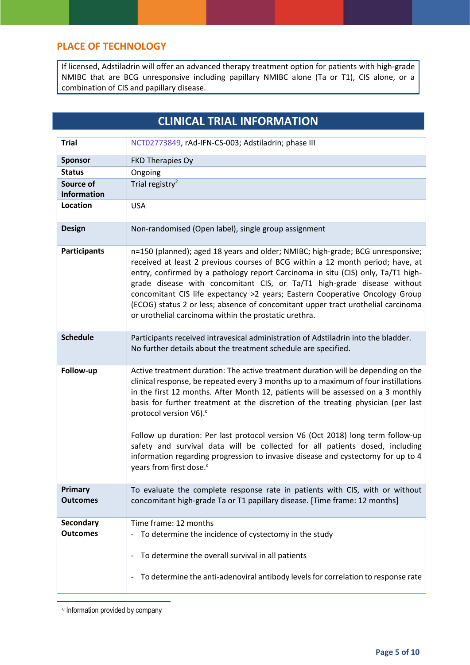#### **PLACE OF TECHNOLOGY**

If licensed, Adstiladrin will offer an advanced therapy treatment option for patients with high-grade NMIBC that are BCG unresponsive including papillary NMIBC alone (Ta or T1), CIS alone, or a combination of CIS and papillary disease.

# **CLINICAL TRIAL INFORMATION**

| <b>Trial</b>                 | NCT02773849, rAd-IFN-CS-003; Adstiladrin; phase III                                                                                                                                                                                                                                                                                                                                                                                                                                                                                                                                                                                                                                   |
|------------------------------|---------------------------------------------------------------------------------------------------------------------------------------------------------------------------------------------------------------------------------------------------------------------------------------------------------------------------------------------------------------------------------------------------------------------------------------------------------------------------------------------------------------------------------------------------------------------------------------------------------------------------------------------------------------------------------------|
| <b>Sponsor</b>               | FKD Therapies Oy                                                                                                                                                                                                                                                                                                                                                                                                                                                                                                                                                                                                                                                                      |
| <b>Status</b>                | Ongoing                                                                                                                                                                                                                                                                                                                                                                                                                                                                                                                                                                                                                                                                               |
| Source of                    | Trial registry <sup>2</sup>                                                                                                                                                                                                                                                                                                                                                                                                                                                                                                                                                                                                                                                           |
| <b>Information</b>           |                                                                                                                                                                                                                                                                                                                                                                                                                                                                                                                                                                                                                                                                                       |
| <b>Location</b>              | <b>USA</b>                                                                                                                                                                                                                                                                                                                                                                                                                                                                                                                                                                                                                                                                            |
| <b>Design</b>                | Non-randomised (Open label), single group assignment                                                                                                                                                                                                                                                                                                                                                                                                                                                                                                                                                                                                                                  |
| <b>Participants</b>          | n=150 (planned); aged 18 years and older; NMIBC; high-grade; BCG unresponsive;<br>received at least 2 previous courses of BCG within a 12 month period; have, at<br>entry, confirmed by a pathology report Carcinoma in situ (CIS) only, Ta/T1 high-<br>grade disease with concomitant CIS, or Ta/T1 high-grade disease without<br>concomitant CIS life expectancy >2 years; Eastern Cooperative Oncology Group<br>(ECOG) status 2 or less; absence of concomitant upper tract urothelial carcinoma<br>or urothelial carcinoma within the prostatic urethra.                                                                                                                          |
| <b>Schedule</b>              | Participants received intravesical administration of Adstiladrin into the bladder.<br>No further details about the treatment schedule are specified.                                                                                                                                                                                                                                                                                                                                                                                                                                                                                                                                  |
| Follow-up                    | Active treatment duration: The active treatment duration will be depending on the<br>clinical response, be repeated every 3 months up to a maximum of four instillations<br>in the first 12 months. After Month 12, patients will be assessed on a 3 monthly<br>basis for further treatment at the discretion of the treating physician (per last<br>protocol version V6). <sup>c</sup><br>Follow up duration: Per last protocol version V6 (Oct 2018) long term follow-up<br>safety and survival data will be collected for all patients dosed, including<br>information regarding progression to invasive disease and cystectomy for up to 4<br>years from first dose. <sup>c</sup> |
| Primary<br><b>Outcomes</b>   | To evaluate the complete response rate in patients with CIS, with or without<br>concomitant high-grade Ta or T1 papillary disease. [Time frame: 12 months]                                                                                                                                                                                                                                                                                                                                                                                                                                                                                                                            |
| Secondary<br><b>Outcomes</b> | Time frame: 12 months<br>To determine the incidence of cystectomy in the study<br>To determine the overall survival in all patients<br>$\overline{\phantom{0}}$<br>To determine the anti-adenoviral antibody levels for correlation to response rate<br>$\qquad \qquad -$                                                                                                                                                                                                                                                                                                                                                                                                             |

c Information provided by company

<span id="page-4-0"></span>**.**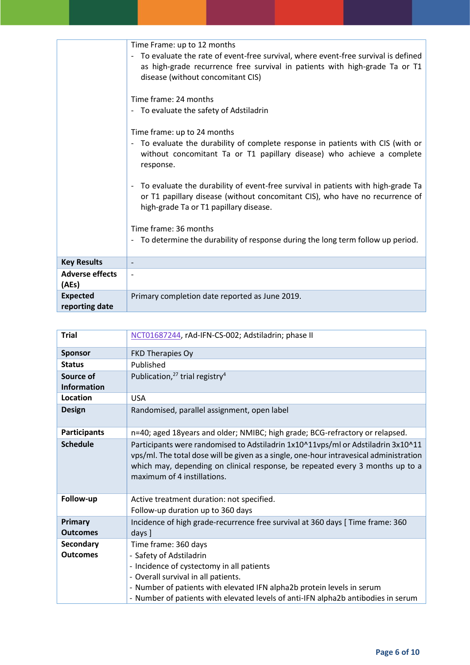|                                   | Time Frame: up to 12 months<br>- To evaluate the rate of event-free survival, where event-free survival is defined<br>as high-grade recurrence free survival in patients with high-grade Ta or T1<br>disease (without concomitant CIS) |
|-----------------------------------|----------------------------------------------------------------------------------------------------------------------------------------------------------------------------------------------------------------------------------------|
|                                   | Time frame: 24 months<br>- To evaluate the safety of Adstiladrin                                                                                                                                                                       |
|                                   | Time frame: up to 24 months<br>To evaluate the durability of complete response in patients with CIS (with or<br>$\overline{\phantom{a}}$<br>without concomitant Ta or T1 papillary disease) who achieve a complete<br>response.        |
|                                   | To evaluate the durability of event-free survival in patients with high-grade Ta<br>$\overline{\phantom{a}}$<br>or T1 papillary disease (without concomitant CIS), who have no recurrence of<br>high-grade Ta or T1 papillary disease. |
|                                   | Time frame: 36 months                                                                                                                                                                                                                  |
|                                   | - To determine the durability of response during the long term follow up period.                                                                                                                                                       |
| <b>Key Results</b>                |                                                                                                                                                                                                                                        |
| <b>Adverse effects</b><br>(AEs)   |                                                                                                                                                                                                                                        |
| <b>Expected</b><br>reporting date | Primary completion date reported as June 2019.                                                                                                                                                                                         |

| <b>Trial</b>                        | NCT01687244, rAd-IFN-CS-002; Adstiladrin; phase II                                                                                                                                                                                                                                                 |
|-------------------------------------|----------------------------------------------------------------------------------------------------------------------------------------------------------------------------------------------------------------------------------------------------------------------------------------------------|
| <b>Sponsor</b>                      | FKD Therapies Oy                                                                                                                                                                                                                                                                                   |
| <b>Status</b>                       | Published                                                                                                                                                                                                                                                                                          |
| Source of                           | Publication, <sup>27</sup> trial registry <sup>4</sup>                                                                                                                                                                                                                                             |
| <b>Information</b>                  |                                                                                                                                                                                                                                                                                                    |
| <b>Location</b>                     | <b>USA</b>                                                                                                                                                                                                                                                                                         |
| <b>Design</b>                       | Randomised, parallel assignment, open label                                                                                                                                                                                                                                                        |
| <b>Participants</b>                 | n=40; aged 18years and older; NMIBC; high grade; BCG-refractory or relapsed.                                                                                                                                                                                                                       |
| <b>Schedule</b>                     | Participants were randomised to Adstiladrin 1x10^11vps/ml or Adstiladrin 3x10^11<br>vps/ml. The total dose will be given as a single, one-hour intravesical administration<br>which may, depending on clinical response, be repeated every 3 months up to a<br>maximum of 4 instillations.         |
| Follow-up                           | Active treatment duration: not specified.<br>Follow-up duration up to 360 days                                                                                                                                                                                                                     |
| Primary<br><b>Outcomes</b>          | Incidence of high grade-recurrence free survival at 360 days [ Time frame: 360<br>days ]                                                                                                                                                                                                           |
| <b>Secondary</b><br><b>Outcomes</b> | Time frame: 360 days<br>- Safety of Adstiladrin<br>- Incidence of cystectomy in all patients<br>- Overall survival in all patients.<br>- Number of patients with elevated IFN alpha2b protein levels in serum<br>- Number of patients with elevated levels of anti-IFN alpha2b antibodies in serum |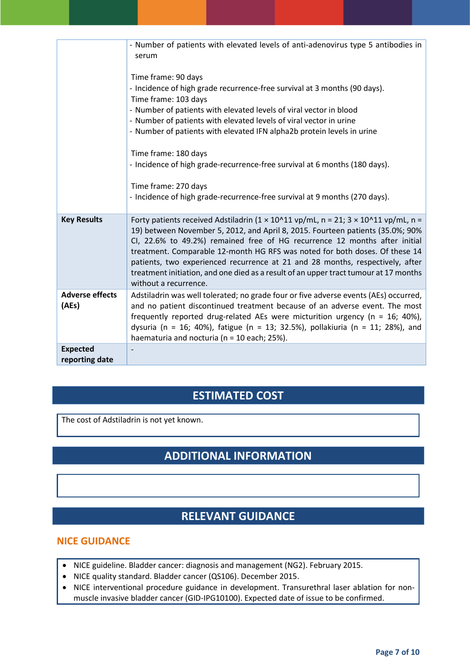|                        | - Number of patients with elevated levels of anti-adenovirus type 5 antibodies in<br>serum                                                                                                                                                                                                                                                                                                                                                                                                                                                           |
|------------------------|------------------------------------------------------------------------------------------------------------------------------------------------------------------------------------------------------------------------------------------------------------------------------------------------------------------------------------------------------------------------------------------------------------------------------------------------------------------------------------------------------------------------------------------------------|
|                        | Time frame: 90 days<br>- Incidence of high grade recurrence-free survival at 3 months (90 days).                                                                                                                                                                                                                                                                                                                                                                                                                                                     |
|                        | Time frame: 103 days                                                                                                                                                                                                                                                                                                                                                                                                                                                                                                                                 |
|                        | - Number of patients with elevated levels of viral vector in blood                                                                                                                                                                                                                                                                                                                                                                                                                                                                                   |
|                        | - Number of patients with elevated levels of viral vector in urine                                                                                                                                                                                                                                                                                                                                                                                                                                                                                   |
|                        | - Number of patients with elevated IFN alpha2b protein levels in urine                                                                                                                                                                                                                                                                                                                                                                                                                                                                               |
|                        |                                                                                                                                                                                                                                                                                                                                                                                                                                                                                                                                                      |
|                        | Time frame: 180 days                                                                                                                                                                                                                                                                                                                                                                                                                                                                                                                                 |
|                        | - Incidence of high grade-recurrence-free survival at 6 months (180 days).                                                                                                                                                                                                                                                                                                                                                                                                                                                                           |
|                        |                                                                                                                                                                                                                                                                                                                                                                                                                                                                                                                                                      |
|                        | Time frame: 270 days                                                                                                                                                                                                                                                                                                                                                                                                                                                                                                                                 |
|                        | - Incidence of high grade-recurrence-free survival at 9 months (270 days).                                                                                                                                                                                                                                                                                                                                                                                                                                                                           |
|                        |                                                                                                                                                                                                                                                                                                                                                                                                                                                                                                                                                      |
| <b>Key Results</b>     | Forty patients received Adstiladrin ( $1 \times 10^211$ vp/mL, n = 21; $3 \times 10^211$ vp/mL, n =<br>19) between November 5, 2012, and April 8, 2015. Fourteen patients (35.0%; 90%<br>CI, 22.6% to 49.2%) remained free of HG recurrence 12 months after initial<br>treatment. Comparable 12-month HG RFS was noted for both doses. Of these 14<br>patients, two experienced recurrence at 21 and 28 months, respectively, after<br>treatment initiation, and one died as a result of an upper tract tumour at 17 months<br>without a recurrence. |
| <b>Adverse effects</b> | Adstiladrin was well tolerated; no grade four or five adverse events (AEs) occurred,                                                                                                                                                                                                                                                                                                                                                                                                                                                                 |
| (AEs)                  | and no patient discontinued treatment because of an adverse event. The most                                                                                                                                                                                                                                                                                                                                                                                                                                                                          |
|                        | frequently reported drug-related AEs were micturition urgency ( $n = 16$ ; 40%),                                                                                                                                                                                                                                                                                                                                                                                                                                                                     |
|                        | dysuria (n = 16; 40%), fatigue (n = 13; 32.5%), pollakiuria (n = 11; 28%), and                                                                                                                                                                                                                                                                                                                                                                                                                                                                       |
|                        | haematuria and nocturia (n = 10 each; 25%).                                                                                                                                                                                                                                                                                                                                                                                                                                                                                                          |
| <b>Expected</b>        |                                                                                                                                                                                                                                                                                                                                                                                                                                                                                                                                                      |
| reporting date         |                                                                                                                                                                                                                                                                                                                                                                                                                                                                                                                                                      |

# **ESTIMATED COST**

The cost of Adstiladrin is not yet known.

# **ADDITIONAL INFORMATION**

# **RELEVANT GUIDANCE**

#### **NICE GUIDANCE**

- NICE guideline. Bladder cancer: diagnosis and management (NG2). February 2015.
- NICE quality standard. Bladder cancer (QS106). December 2015.
- NICE interventional procedure guidance in development. Transurethral laser ablation for nonmuscle invasive bladder cancer (GID-IPG10100). Expected date of issue to be confirmed.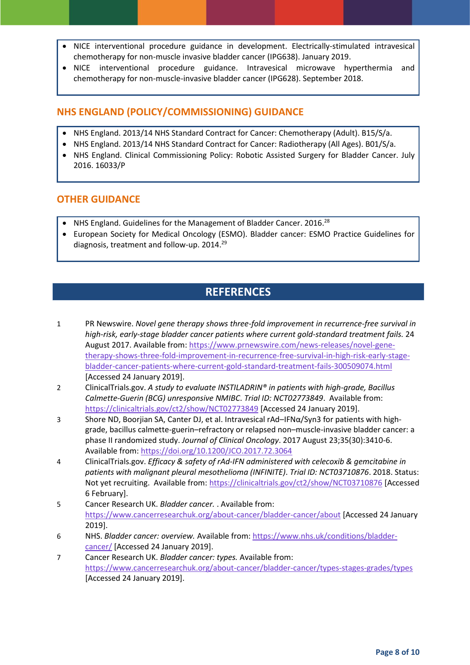- NICE interventional procedure guidance in development. Electrically-stimulated intravesical chemotherapy for non-muscle invasive bladder cancer (IPG638). January 2019.
- NICE interventional procedure guidance. Intravesical microwave hyperthermia and chemotherapy for non-muscle-invasive bladder cancer (IPG628). September 2018.

#### **NHS ENGLAND (POLICY/COMMISSIONING) GUIDANCE**

- NHS England. 2013/14 NHS Standard Contract for Cancer: Chemotherapy (Adult). B15/S/a.
- NHS England. 2013/14 NHS Standard Contract for Cancer: Radiotherapy (All Ages). B01/S/a.
- NHS England. Clinical Commissioning Policy: Robotic Assisted Surgery for Bladder Cancer. July 2016. 16033/P

#### **OTHER GUIDANCE**

- NHS England. Guidelines for the Management of Bladder Cancer. 2016.<sup>28</sup>
- European Society for Medical Oncology (ESMO). Bladder cancer: ESMO Practice Guidelines for diagnosis, treatment and follow-up. 2014.<sup>29</sup>

### **REFERENCES**

- 1 PR Newswire. *Novel gene therapy shows three-fold improvement in recurrence-free survival in high-risk, early-stage bladder cancer patients where current gold-standard treatment fails.* 24 August 2017. Available from[: https://www.prnewswire.com/news-releases/novel-gene](https://www.prnewswire.com/news-releases/novel-gene-therapy-shows-three-fold-improvement-in-recurrence-free-survival-in-high-risk-early-stage-bladder-cancer-patients-where-current-gold-standard-treatment-fails-300509074.html)[therapy-shows-three-fold-improvement-in-recurrence-free-survival-in-high-risk-early-stage](https://www.prnewswire.com/news-releases/novel-gene-therapy-shows-three-fold-improvement-in-recurrence-free-survival-in-high-risk-early-stage-bladder-cancer-patients-where-current-gold-standard-treatment-fails-300509074.html)[bladder-cancer-patients-where-current-gold-standard-treatment-fails-300509074.html](https://www.prnewswire.com/news-releases/novel-gene-therapy-shows-three-fold-improvement-in-recurrence-free-survival-in-high-risk-early-stage-bladder-cancer-patients-where-current-gold-standard-treatment-fails-300509074.html) [Accessed 24 January 2019].
- 2 ClinicalTrials.gov. *A study to evaluate INSTILADRIN® in patients with high-grade, Bacillus Calmette-Guerin (BCG) unresponsive NMIBC*. *Trial ID: NCT02773849*. Available from: <https://clinicaltrials.gov/ct2/show/NCT02773849> [Accessed 24 January 2019].
- 3 Shore ND, Boorjian SA, Canter DJ, et al. Intravesical rAd–IFNα/Syn3 for patients with highgrade, bacillus calmette-guerin–refractory or relapsed non–muscle-invasive bladder cancer: a phase II randomized study. *Journal of Clinical Oncology*. 2017 August 23;35(30):3410-6. Available from[: https://doi.org/10.1200/JCO.2017.72.3064](https://doi.org/10.1200/JCO.2017.72.3064)
- 4 ClinicalTrials.gov. *Efficacy & safety of rAd-IFN administered with celecoxib & gemcitabine in patients with malignant pleural mesothelioma (INFINITE)*. *Trial ID: NCT03710876*. 2018. Status: Not yet recruiting. Available from:<https://clinicaltrials.gov/ct2/show/NCT03710876> [Accessed 6 February].
- 5 Cancer Research UK. *Bladder cancer.* . Available from: <https://www.cancerresearchuk.org/about-cancer/bladder-cancer/about> [Accessed 24 January 2019].
- 6 NHS. *Bladder cancer: overview.* Available from: [https://www.nhs.uk/conditions/bladder](https://www.nhs.uk/conditions/bladder-cancer/)[cancer/](https://www.nhs.uk/conditions/bladder-cancer/) [Accessed 24 January 2019].
- 7 Cancer Research UK. *Bladder cancer: types.* Available from: <https://www.cancerresearchuk.org/about-cancer/bladder-cancer/types-stages-grades/types> [Accessed 24 January 2019].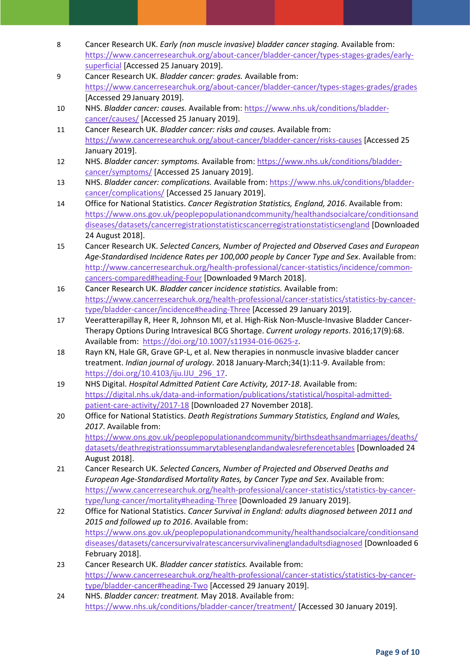- 8 Cancer Research UK. *Early (non muscle invasive) bladder cancer staging.* Available from: [https://www.cancerresearchuk.org/about-cancer/bladder-cancer/types-stages-grades/early](https://www.cancerresearchuk.org/about-cancer/bladder-cancer/types-stages-grades/early-superficial)[superficial](https://www.cancerresearchuk.org/about-cancer/bladder-cancer/types-stages-grades/early-superficial) [Accessed 25 January 2019].
- 9 Cancer Research UK. *Bladder cancer: grades.* Available from: <https://www.cancerresearchuk.org/about-cancer/bladder-cancer/types-stages-grades/grades> [Accessed 29 January 2019].
- 10 NHS. *Bladder cancer: causes.* Available from[: https://www.nhs.uk/conditions/bladder](https://www.nhs.uk/conditions/bladder-cancer/causes/)[cancer/causes/](https://www.nhs.uk/conditions/bladder-cancer/causes/) [Accessed 25 January 2019].
- 11 Cancer Research UK. *Bladder cancer: risks and causes.* Available from: <https://www.cancerresearchuk.org/about-cancer/bladder-cancer/risks-causes> [Accessed 25 January 2019].
- 12 NHS. *Bladder cancer: symptoms.* Available from[: https://www.nhs.uk/conditions/bladder](https://www.nhs.uk/conditions/bladder-cancer/symptoms/)[cancer/symptoms/](https://www.nhs.uk/conditions/bladder-cancer/symptoms/) [Accessed 25 January 2019].
- 13 NHS. *Bladder cancer: complications.* Available from[: https://www.nhs.uk/conditions/bladder](https://www.nhs.uk/conditions/bladder-cancer/complications/)[cancer/complications/](https://www.nhs.uk/conditions/bladder-cancer/complications/) [Accessed 25 January 2019].
- 14 Office for National Statistics. *Cancer Registration Statistics, England, 2016*. Available from: [https://www.ons.gov.uk/peoplepopulationandcommunity/healthandsocialcare/conditionsand](https://www.ons.gov.uk/peoplepopulationandcommunity/healthandsocialcare/conditionsanddiseases/datasets/cancerregistrationstatisticscancerregistrationstatisticsengland) [diseases/datasets/cancerregistrationstatisticscancerregistrationstatisticsengland](https://www.ons.gov.uk/peoplepopulationandcommunity/healthandsocialcare/conditionsanddiseases/datasets/cancerregistrationstatisticscancerregistrationstatisticsengland) [Downloaded 24 August 2018].
- 15 Cancer Research UK. *Selected Cancers, Number of Projected and Observed Cases and European Age-Standardised Incidence Rates per 100,000 people by Cancer Type and Sex*. Available from: [http://www.cancerresearchuk.org/health-professional/cancer-statistics/incidence/common](http://www.cancerresearchuk.org/health-professional/cancer-statistics/incidence/common-cancers-compared#heading-Four)[cancers-compared#heading-Four](http://www.cancerresearchuk.org/health-professional/cancer-statistics/incidence/common-cancers-compared#heading-Four) [Downloaded 9March 2018].
- 16 Cancer Research UK. *Bladder cancer incidence statistics.* Available from: [https://www.cancerresearchuk.org/health-professional/cancer-statistics/statistics-by-cancer](https://www.cancerresearchuk.org/health-professional/cancer-statistics/statistics-by-cancer-type/bladder-cancer/incidence#heading-Three)[type/bladder-cancer/incidence#heading-Three](https://www.cancerresearchuk.org/health-professional/cancer-statistics/statistics-by-cancer-type/bladder-cancer/incidence#heading-Three) [Accessed 29 January 2019].
- 17 Veeratterapillay R, Heer R, Johnson MI, et al. High-Risk Non-Muscle-Invasive Bladder Cancer-Therapy Options During Intravesical BCG Shortage. *Current urology reports*. 2016;17(9):68. Available from: [https://doi.org/10.1007/s11934-016-0625-z.](https://doi.org/10.1007/s11934-016-0625-z)
- 18 Rayn KN, Hale GR, Grave GP-L, et al. New therapies in nonmuscle invasive bladder cancer treatment. *Indian journal of urology*. 2018 January-March;34(1):11-9. Available from: [https://doi.org/10.4103/iju.IJU\\_296\\_17.](https://doi.org/10.4103/iju.IJU_296_17)
- 19 NHS Digital. *Hospital Admitted Patient Care Activity, 2017-18*. Available from: [https://digital.nhs.uk/data-and-information/publications/statistical/hospital-admitted](https://digital.nhs.uk/data-and-information/publications/statistical/hospital-admitted-patient-care-activity/2017-18)[patient-care-activity/2017-18](https://digital.nhs.uk/data-and-information/publications/statistical/hospital-admitted-patient-care-activity/2017-18) [Downloaded 27 November 2018].
- 20 Office for National Statistics. *Death Registrations Summary Statistics, England and Wales, 2017*. Available from: [https://www.ons.gov.uk/peoplepopulationandcommunity/birthsdeathsandmarriages/deaths/](https://www.ons.gov.uk/peoplepopulationandcommunity/birthsdeathsandmarriages/deaths/datasets/deathregistrationssummarytablesenglandandwalesreferencetables) [datasets/deathregistrationssummarytablesenglandandwalesreferencetables](https://www.ons.gov.uk/peoplepopulationandcommunity/birthsdeathsandmarriages/deaths/datasets/deathregistrationssummarytablesenglandandwalesreferencetables) [Downloaded 24 August 2018].
- 21 Cancer Research UK. *Selected Cancers, Number of Projected and Observed Deaths and European Age-Standardised Mortality Rates, by Cancer Type and Sex*. Available from: [https://www.cancerresearchuk.org/health-professional/cancer-statistics/statistics-by-cancer](https://www.cancerresearchuk.org/health-professional/cancer-statistics/statistics-by-cancer-type/lung-cancer/mortality#heading-Three)[type/lung-cancer/mortality#heading-Three](https://www.cancerresearchuk.org/health-professional/cancer-statistics/statistics-by-cancer-type/lung-cancer/mortality#heading-Three) [Downloaded 29 January 2019].
- 22 Office for National Statistics. *Cancer Survival in England: adults diagnosed between 2011 and 2015 and followed up to 2016*. Available from: [https://www.ons.gov.uk/peoplepopulationandcommunity/healthandsocialcare/conditionsand](https://www.ons.gov.uk/peoplepopulationandcommunity/healthandsocialcare/conditionsanddiseases/datasets/cancersurvivalratescancersurvivalinenglandadultsdiagnosed) [diseases/datasets/cancersurvivalratescancersurvivalinenglandadultsdiagnosed](https://www.ons.gov.uk/peoplepopulationandcommunity/healthandsocialcare/conditionsanddiseases/datasets/cancersurvivalratescancersurvivalinenglandadultsdiagnosed) [Downloaded 6 February 2018].
- 23 Cancer Research UK. *Bladder cancer statistics.* Available from: [https://www.cancerresearchuk.org/health-professional/cancer-statistics/statistics-by-cancer](https://www.cancerresearchuk.org/health-professional/cancer-statistics/statistics-by-cancer-type/bladder-cancer#heading-Two)[type/bladder-cancer#heading-Two](https://www.cancerresearchuk.org/health-professional/cancer-statistics/statistics-by-cancer-type/bladder-cancer#heading-Two) [Accessed 29 January 2019].
- 24 NHS. *Bladder cancer: treatment.* May 2018. Available from: <https://www.nhs.uk/conditions/bladder-cancer/treatment/> [Accessed 30 January 2019].